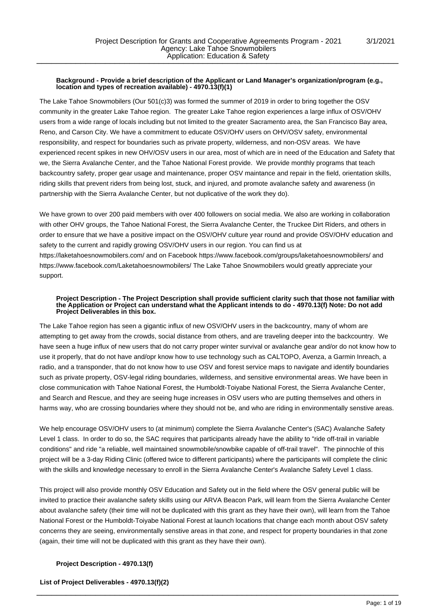#### **Background - Provide a brief description of the Applicant or Land Manager's organization/program (e.g., location and types of recreation available) - 4970.13(f)(1)**

The Lake Tahoe Snowmobilers (Our 501(c)3) was formed the summer of 2019 in order to bring together the OSV community in the greater Lake Tahoe region. The greater Lake Tahoe region experiences a large influx of OSV/OHV users from a wide range of locals including but not limited to the greater Sacramento area, the San Francisco Bay area, Reno, and Carson City. We have a commitment to educate OSV/OHV users on OHV/OSV safety, environmental responsibility, and respect for boundaries such as private property, wilderness, and non-OSV areas. We have experienced recent spikes in new OHV/OSV users in our area, most of which are in need of the Education and Safety that we, the Sierra Avalanche Center, and the Tahoe National Forest provide. We provide monthly programs that teach backcountry safety, proper gear usage and maintenance, proper OSV maintance and repair in the field, orientation skills, riding skills that prevent riders from being lost, stuck, and injured, and promote avalanche safety and awareness (in partnership with the Sierra Avalanche Center, but not duplicative of the work they do).

We have grown to over 200 paid members with over 400 followers on social media. We also are working in collaboration with other OHV groups, the Tahoe National Forest, the Sierra Avalanche Center, the Truckee Dirt Riders, and others in order to ensure that we have a positive impact on the OSV/OHV culture year round and provide OSV/OHV education and safety to the current and rapidly growing OSV/OHV users in our region. You can find us at https://laketahoesnowmobilers.com/ and on Facebook https://www.facebook.com/groups/laketahoesnowmobilers/ and https://www.facebook.com/Laketahoesnowmobilers/ The Lake Tahoe Snowmobilers would greatly appreciate your support.

#### **Project Description - The Project Description shall provide sufficient clarity such that those not familiar with the Application or Project can understand what the Applicant intends to do - 4970.13(f) Note: Do not add Project Deliverables in this box.**

The Lake Tahoe region has seen a gigantic influx of new OSV/OHV users in the backcountry, many of whom are attempting to get away from the crowds, social distance from others, and are traveling deeper into the backcountry. We have seen a huge influx of new users that do not carry proper winter survival or avalanche gear and/or do not know how to use it properly, that do not have and/opr know how to use technology such as CALTOPO, Avenza, a Garmin Inreach, a radio, and a transponder, that do not know how to use OSV and forest service maps to navigate and identify boundaries such as private property, OSV-legal riding boundaries, wilderness, and sensitive environmental areas. We have been in close communication with Tahoe National Forest, the Humboldt-Toiyabe National Forest, the Sierra Avalanche Center, and Search and Rescue, and they are seeing huge increases in OSV users who are putting themselves and others in harms way, who are crossing boundaries where they should not be, and who are riding in environmentally senstive areas.

We help encourage OSV/OHV users to (at minimum) complete the Sierra Avalanche Center's (SAC) Avalanche Safety Level 1 class. In order to do so, the SAC requires that participants already have the ability to "ride off-trail in variable conditions" and ride "a reliable, well maintained snowmobile/snowbike capable of off-trail travel". The pinnochle of this project will be a 3-day Riding Clinic (offered twice to different participants) where the participants will complete the clinic with the skills and knowledge necessary to enroll in the Sierra Avalanche Center's Avalanche Safety Level 1 class.

This project will also provide monthly OSV Education and Safety out in the field where the OSV general public will be invited to practice their avalanche safety skills using our ARVA Beacon Park, will learn from the Sierra Avalanche Center about avalanche safety (their time will not be duplicated with this grant as they have their own), will learn from the Tahoe National Forest or the Humboldt-Toiyabe National Forest at launch locations that change each month about OSV safety concerns they are seeing, environmentally senstive areas in that zone, and respect for property boundaries in that zone (again, their time will not be duplicated with this grant as they have their own).

\_\_\_\_\_\_\_\_\_\_\_\_\_\_\_\_\_\_\_\_\_\_\_\_\_\_\_\_\_\_\_\_\_\_\_\_\_\_\_\_\_\_\_\_\_\_\_\_\_\_\_\_\_\_\_\_\_\_\_\_\_\_\_\_\_\_\_\_\_\_\_\_\_\_

#### **Project Description - 4970.13(f)**

 **List of Project Deliverables - 4970.13(f)(2)**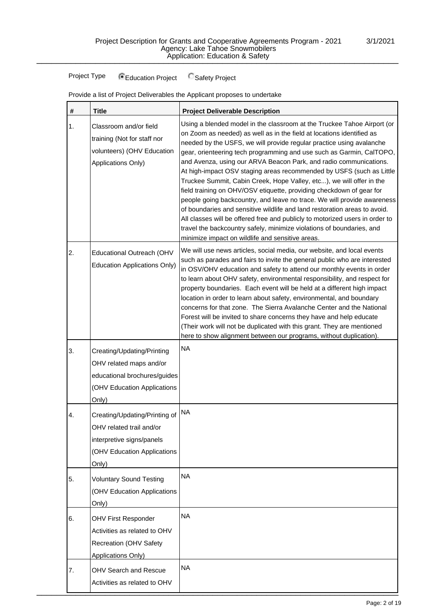Project Type **Education Project Safety Project** 

Ē

| $\#$ | <b>Title</b>                                                                                                                   | <b>Project Deliverable Description</b>                                                                                                                                                                                                                                                                                                                                                                                                                                                                                                                                                                                                                                                                                                                                                                                                                                                                                                                             |
|------|--------------------------------------------------------------------------------------------------------------------------------|--------------------------------------------------------------------------------------------------------------------------------------------------------------------------------------------------------------------------------------------------------------------------------------------------------------------------------------------------------------------------------------------------------------------------------------------------------------------------------------------------------------------------------------------------------------------------------------------------------------------------------------------------------------------------------------------------------------------------------------------------------------------------------------------------------------------------------------------------------------------------------------------------------------------------------------------------------------------|
| 1.   | Classroom and/or field<br>training (Not for staff nor<br>volunteers) (OHV Education<br>Applications Only)                      | Using a blended model in the classroom at the Truckee Tahoe Airport (or<br>on Zoom as needed) as well as in the field at locations identified as<br>needed by the USFS, we will provide regular practice using avalanche<br>gear, orienteering tech programming and use such as Garmin, CalTOPO,<br>and Avenza, using our ARVA Beacon Park, and radio communications.<br>At high-impact OSV staging areas recommended by USFS (such as Little<br>Truckee Summit, Cabin Creek, Hope Valley, etc), we will offer in the<br>field training on OHV/OSV etiquette, providing checkdown of gear for<br>people going backcountry, and leave no trace. We will provide awareness<br>of boundaries and sensitive wildlife and land restoration areas to avoid.<br>All classes will be offered free and publicly to motorized users in order to<br>travel the backcountry safely, minimize violations of boundaries, and<br>minimize impact on wildlife and sensitive areas. |
| 2.   | Educational Outreach (OHV<br><b>Education Applications Only)</b>                                                               | We will use news articles, social media, our website, and local events<br>such as parades and fairs to invite the general public who are interested<br>in OSV/OHV education and safety to attend our monthly events in order<br>to learn about OHV safety, environmental responsibility, and respect for<br>property boundaries. Each event will be held at a different high impact<br>location in order to learn about safety, environmental, and boundary<br>concerns for that zone. The Sierra Avalanche Center and the National<br>Forest will be invited to share concerns they have and help educate<br>(Their work will not be duplicated with this grant. They are mentioned<br>here to show alignment between our programs, without duplication).                                                                                                                                                                                                         |
| 3.   | Creating/Updating/Printing<br>OHV related maps and/or<br>educational brochures/guides<br>(OHV Education Applications<br>Only)  | <b>NA</b>                                                                                                                                                                                                                                                                                                                                                                                                                                                                                                                                                                                                                                                                                                                                                                                                                                                                                                                                                          |
| 4.   | Creating/Updating/Printing of<br>OHV related trail and/or<br>interpretive signs/panels<br>(OHV Education Applications<br>Only) | <b>NA</b>                                                                                                                                                                                                                                                                                                                                                                                                                                                                                                                                                                                                                                                                                                                                                                                                                                                                                                                                                          |
| 5.   | <b>Voluntary Sound Testing</b><br>(OHV Education Applications<br>Only)                                                         | <b>NA</b>                                                                                                                                                                                                                                                                                                                                                                                                                                                                                                                                                                                                                                                                                                                                                                                                                                                                                                                                                          |
| 6.   | OHV First Responder<br>Activities as related to OHV<br>Recreation (OHV Safety<br><b>Applications Only)</b>                     | <b>NA</b>                                                                                                                                                                                                                                                                                                                                                                                                                                                                                                                                                                                                                                                                                                                                                                                                                                                                                                                                                          |
| 7.   | OHV Search and Rescue<br>Activities as related to OHV                                                                          | <b>NA</b>                                                                                                                                                                                                                                                                                                                                                                                                                                                                                                                                                                                                                                                                                                                                                                                                                                                                                                                                                          |

Provide a list of Project Deliverables the Applicant proposes to undertake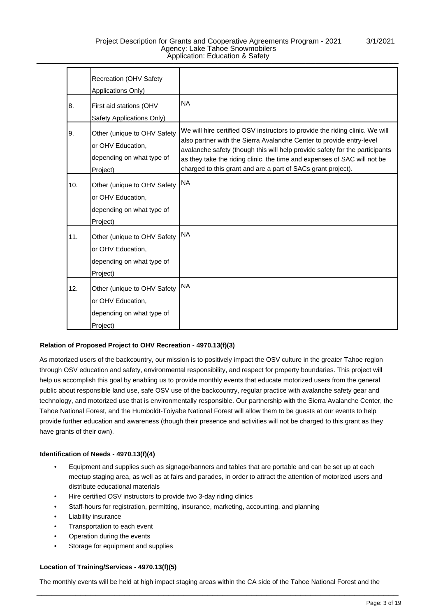| 8.  | Recreation (OHV Safety<br>Applications Only)<br>First aid stations (OHV<br><b>Safety Applications Only)</b> | <b>NA</b>                                                                                                                                                                                                                                                                                                                                                                       |
|-----|-------------------------------------------------------------------------------------------------------------|---------------------------------------------------------------------------------------------------------------------------------------------------------------------------------------------------------------------------------------------------------------------------------------------------------------------------------------------------------------------------------|
| l9. | Other (unique to OHV Safety<br>or OHV Education,<br>depending on what type of<br>Project)                   | We will hire certified OSV instructors to provide the riding clinic. We will<br>also partner with the Sierra Avalanche Center to provide entry-level<br>avalanche safety (though this will help provide safety for the participants<br>as they take the riding clinic, the time and expenses of SAC will not be<br>charged to this grant and are a part of SACs grant project). |
| 10. | Other (unique to OHV Safety<br>or OHV Education,<br>depending on what type of<br>Project)                   | <b>NA</b>                                                                                                                                                                                                                                                                                                                                                                       |
| 11. | Other (unique to OHV Safety<br>or OHV Education,<br>depending on what type of<br>Project)                   | <b>NA</b>                                                                                                                                                                                                                                                                                                                                                                       |
| 12. | Other (unique to OHV Safety<br>or OHV Education,<br>depending on what type of<br>Project)                   | <b>NA</b>                                                                                                                                                                                                                                                                                                                                                                       |

## **Relation of Proposed Project to OHV Recreation - 4970.13(f)(3)**

As motorized users of the backcountry, our mission is to positively impact the OSV culture in the greater Tahoe region through OSV education and safety, environmental responsibility, and respect for property boundaries. This project will help us accomplish this goal by enabling us to provide monthly events that educate motorized users from the general public about responsible land use, safe OSV use of the backcountry, regular practice with avalanche safety gear and technology, and motorized use that is environmentally responsible. Our partnership with the Sierra Avalanche Center, the Tahoe National Forest, and the Humboldt-Toiyabe National Forest will allow them to be guests at our events to help provide further education and awareness (though their presence and activities will not be charged to this grant as they have grants of their own).

#### **Identification of Needs - 4970.13(f)(4)**

- Equipment and supplies such as signage/banners and tables that are portable and can be set up at each meetup staging area, as well as at fairs and parades, in order to attract the attention of motorized users and distribute educational materials •
- Hire certified OSV instructors to provide two 3-day riding clinics
- Staff-hours for registration, permitting, insurance, marketing, accounting, and planning
- Liability insurance
- Transportation to each event
- Operation during the events
- Storage for equipment and supplies

#### **Location of Training/Services - 4970.13(f)(5)**

The monthly events will be held at high impact staging areas within the CA side of the Tahoe National Forest and the

\_\_\_\_\_\_\_\_\_\_\_\_\_\_\_\_\_\_\_\_\_\_\_\_\_\_\_\_\_\_\_\_\_\_\_\_\_\_\_\_\_\_\_\_\_\_\_\_\_\_\_\_\_\_\_\_\_\_\_\_\_\_\_\_\_\_\_\_\_\_\_\_\_\_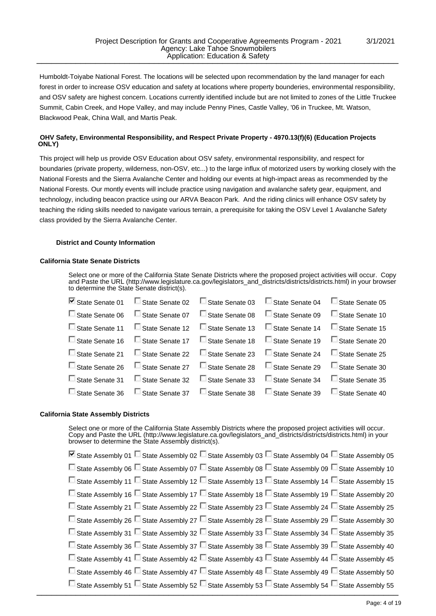Humboldt-Toiyabe National Forest. The locations will be selected upon recommendation by the land manager for each forest in order to increase OSV education and safety at locations where property bounderies, environmental responsibility, and OSV safety are highest concern. Locations currently identified include but are not limited to zones of the Little Truckee Summit, Cabin Creek, and Hope Valley, and may include Penny Pines, Castle Valley, '06 in Truckee, Mt. Watson, Blackwood Peak, China Wall, and Martis Peak.

### **OHV Safety, Environmental Responsibility, and Respect Private Property - 4970.13(f)(6) (Education Projects ONLY)**

This project will help us provide OSV Education about OSV safety, environmental responsibility, and respect for boundaries (private property, wilderness, non-OSV, etc...) to the large influx of motorized users by working closely with the National Forests and the Sierra Avalanche Center and holding our events at high-impact areas as recommended by the National Forests. Our montly events will include practice using navigation and avalanche safety gear, equipment, and technology, including beacon practice using our ARVA Beacon Park. And the riding clinics will enhance OSV safety by teaching the riding skills needed to navigate various terrain, a prerequisite for taking the OSV Level 1 Avalanche Safety class provided by the Sierra Avalanche Center.

#### **District and County Information**

#### **California State Senate Districts**

Select one or more of the California State Senate Districts where the proposed project activities will occur. Copy and Paste the URL (http://www.legislature.ca.gov/legislators\_and\_districts/districts/districts.html) in your browser to determine the State Senate district(s).

| State Senate 01 | State Senate 02 | State Senate 03                                                                           | State Senate 04 | State Senate 05 |
|-----------------|-----------------|-------------------------------------------------------------------------------------------|-----------------|-----------------|
| State Senate 06 | State Senate 07 | State Senate 08                                                                           | State Senate 09 | State Senate 10 |
| State Senate 11 | State Senate 12 | State Senate 13                                                                           | State Senate 14 | State Senate 15 |
| State Senate 16 | State Senate 17 | State Senate 18                                                                           | State Senate 19 | State Senate 20 |
| State Senate 21 | State Senate 22 | State Senate 23                                                                           | State Senate 24 | State Senate 25 |
| State Senate 26 | State Senate 27 | State Senate 28                                                                           | State Senate 29 | State Senate 30 |
| State Senate 31 | State Senate 32 | State Senate 33                                                                           | State Senate 34 | State Senate 35 |
|                 |                 | □ State Senate 36 □ State Senate 37 □ State Senate 38 □ State Senate 39 □ State Senate 40 |                 |                 |

#### **California State Assembly Districts**

Select one or more of the California State Assembly Districts where the proposed project activities will occur. Copy and Paste the URL (http://www.legislature.ca.gov/legislators\_and\_districts/districts/districts.html) in your browser to determine the State Assembly district(s).

| $\triangledown$ State Assembly 01 $\square$ State Assembly 02 $\square$ State Assembly 03 $\square$ State Assembly 04 $\square$ State Assembly 05 |
|---------------------------------------------------------------------------------------------------------------------------------------------------|
| □ State Assembly 06 □ State Assembly 07 □ State Assembly 08 □ State Assembly 09 □ State Assembly 10                                               |
| □ State Assembly 11 □ State Assembly 12 □ State Assembly 13 □ State Assembly 14 □ State Assembly 15                                               |
| □ State Assembly 16 □ State Assembly 17 □ State Assembly 18 □ State Assembly 19 □ State Assembly 20                                               |
| □ State Assembly 21 □ State Assembly 22 □ State Assembly 23 □ State Assembly 24 □ State Assembly 25                                               |
| □ State Assembly 26 □ State Assembly 27 □ State Assembly 28 □ State Assembly 29 □ State Assembly 30                                               |
| □ State Assembly 31 □ State Assembly 32 □ State Assembly 33 □ State Assembly 34 □ State Assembly 35                                               |
| □ State Assembly 36 □ State Assembly 37 □ State Assembly 38 □ State Assembly 39 □ State Assembly 40                                               |
| □ State Assembly 41 □ State Assembly 42 □ State Assembly 43 □ State Assembly 44 □ State Assembly 45                                               |
| □ State Assembly 46 □ State Assembly 47 □ State Assembly 48 □ State Assembly 49 □ State Assembly 50                                               |
| □ State Assembly 51 □ State Assembly 52 □ State Assembly 53 □ State Assembly 54 □ State Assembly 55                                               |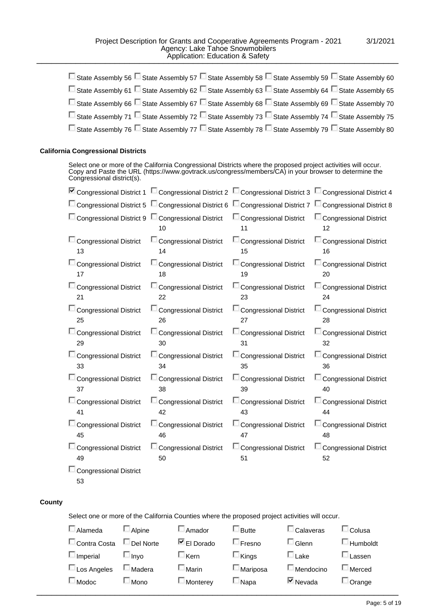|                                                 |                               | □ State Assembly 56 □ State Assembly 57 □ State Assembly 58 □ State Assembly 59 □ State Assembly 60<br>□ State Assembly 61 □ State Assembly 62 □ State Assembly 63 □ State Assembly 64 □ State Assembly 65<br>□ State Assembly 66 □ State Assembly 67 □ State Assembly 68 □ State Assembly 69 □ State Assembly 70<br>□ State Assembly 71 □ State Assembly 72 □ State Assembly 73 □ State Assembly 74 □ State Assembly 75<br>□ State Assembly 76 □ State Assembly 77 □ State Assembly 78 □ State Assembly 79 □ State Assembly 80 |                              |
|-------------------------------------------------|-------------------------------|---------------------------------------------------------------------------------------------------------------------------------------------------------------------------------------------------------------------------------------------------------------------------------------------------------------------------------------------------------------------------------------------------------------------------------------------------------------------------------------------------------------------------------|------------------------------|
| <b>California Congressional Districts</b>       |                               |                                                                                                                                                                                                                                                                                                                                                                                                                                                                                                                                 |                              |
| Congressional district(s).                      |                               | Select one or more of the California Congressional Districts where the proposed project activities will occur.<br>Copy and Paste the URL (https://www.govtrack.us/congress/members/CA) in your browser to determine the                                                                                                                                                                                                                                                                                                         |                              |
|                                                 |                               | $\boxdot$ Congressional District 1 $\Box$ Congressional District 2 $\Box$ Congressional District 3 $\Box$ Congressional District 4                                                                                                                                                                                                                                                                                                                                                                                              |                              |
|                                                 |                               | $\square$ Congressional District 5 $\square$ Congressional District 6 $\square$ Congressional District 7 $\square$ Congressional District 8                                                                                                                                                                                                                                                                                                                                                                                     |                              |
| Congressional District 9 Congressional District | 10                            | Congressional District<br>11                                                                                                                                                                                                                                                                                                                                                                                                                                                                                                    | Congressional District<br>12 |
| Congressional District                          | Congressional District        | Congressional District                                                                                                                                                                                                                                                                                                                                                                                                                                                                                                          | Congressional District       |
| 13                                              | 14                            | 15                                                                                                                                                                                                                                                                                                                                                                                                                                                                                                                              | 16                           |
| Congressional District                          | Congressional District        | Congressional District                                                                                                                                                                                                                                                                                                                                                                                                                                                                                                          | Congressional District       |
| 17                                              | 18                            | 19                                                                                                                                                                                                                                                                                                                                                                                                                                                                                                                              | 20                           |
| Congressional District                          | Congressional District        | Congressional District                                                                                                                                                                                                                                                                                                                                                                                                                                                                                                          | Congressional District       |
| 21                                              | 22                            | 23                                                                                                                                                                                                                                                                                                                                                                                                                                                                                                                              | 24                           |
| Congressional District                          | Congressional District        | Congressional District                                                                                                                                                                                                                                                                                                                                                                                                                                                                                                          | Congressional District       |
| 25                                              | 26                            | 27                                                                                                                                                                                                                                                                                                                                                                                                                                                                                                                              | 28                           |
| Congressional District                          | <b>Congressional District</b> | Congressional District                                                                                                                                                                                                                                                                                                                                                                                                                                                                                                          | Congressional District       |
| 29                                              | 30                            | 31                                                                                                                                                                                                                                                                                                                                                                                                                                                                                                                              | 32                           |
| Congressional District                          | Congressional District        | Congressional District                                                                                                                                                                                                                                                                                                                                                                                                                                                                                                          | Congressional District       |
| 33                                              | 34                            | 35                                                                                                                                                                                                                                                                                                                                                                                                                                                                                                                              | 36                           |
| Congressional District                          | Congressional District        | Congressional District                                                                                                                                                                                                                                                                                                                                                                                                                                                                                                          | Congressional District       |
| 37                                              | 38                            | 39                                                                                                                                                                                                                                                                                                                                                                                                                                                                                                                              | 40                           |
| Congressional District                          | Congressional District        | Congressional District                                                                                                                                                                                                                                                                                                                                                                                                                                                                                                          | Congressional District       |
| 41                                              | 42                            | 43                                                                                                                                                                                                                                                                                                                                                                                                                                                                                                                              | 44                           |
| Congressional District                          | Congressional District        | Congressional District                                                                                                                                                                                                                                                                                                                                                                                                                                                                                                          | Congressional District       |
| 45                                              | 46                            | 47                                                                                                                                                                                                                                                                                                                                                                                                                                                                                                                              | 48                           |
| Congressional District                          | Congressional District        | Congressional District                                                                                                                                                                                                                                                                                                                                                                                                                                                                                                          | Congressional District       |
| 49                                              | 50                            | 51                                                                                                                                                                                                                                                                                                                                                                                                                                                                                                                              | 52                           |
|                                                 |                               |                                                                                                                                                                                                                                                                                                                                                                                                                                                                                                                                 |                              |

Congressional District 53

# **County**

Select one or more of the California Counties where the proposed project activities will occur.

| Alameda      | Alpine    | Amador                    | Butte                 | Calaveras               | Colusa   |
|--------------|-----------|---------------------------|-----------------------|-------------------------|----------|
| Contra Costa | Del Norte | $\triangledown$ El Dorado | Fresno                | Glenn                   | Humboldt |
| Imperial     | Invo      | Kern                      | Kings                 | Lake                    | Lassen   |
| Los Angeles  | Madera    | Marin                     | <sup>⊥</sup> Mariposa | Mendocino               | Merced   |
| Modoc        | Mono      | Monterey                  | <sup>⊥</sup> Napa     | $\triangleright$ Nevada | Orange   |
|              |           |                           |                       |                         |          |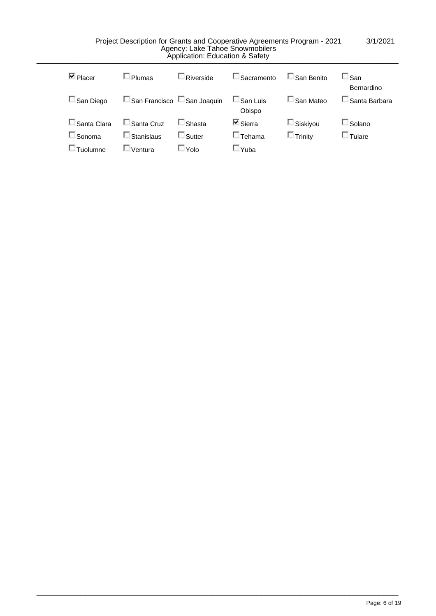## Project Description for Grants and Cooperative Agreements Program - 2021 Agency: Lake Tahoe Snowmobilers Application: Education & Safety \_\_\_\_\_\_\_\_\_\_\_\_\_\_\_\_\_\_\_\_\_\_\_\_\_\_\_\_\_\_\_\_\_\_\_\_\_\_\_\_\_\_\_\_\_\_\_\_\_\_\_\_\_\_\_\_\_\_\_\_\_\_\_\_\_\_\_\_\_\_\_\_\_\_

| $\nabla$ Placer | Plumas                        | Riverside     | $\Box$ Sacramento       | San Benito     | San<br>Bernardino |
|-----------------|-------------------------------|---------------|-------------------------|----------------|-------------------|
| San Diego       | □ San Francisco □ San Joaquin |               | San Luis<br>Obispo      | San Mateo      | Santa Barbara     |
| Santa Clara     | Santa Cruz                    | Shasta        | $\triangleright$ Sierra | Siskiyou       | Solano            |
| Sonoma          | Stanislaus                    | Sutter        | $\Box$ Tehama           | $\Box$ Trinity | $\square$ Tulare  |
| Tuolumne        | $\Box$ Ventura                | <b>L</b> Yolo | <b>L</b> Yuba           |                |                   |

\_\_\_\_\_\_\_\_\_\_\_\_\_\_\_\_\_\_\_\_\_\_\_\_\_\_\_\_\_\_\_\_\_\_\_\_\_\_\_\_\_\_\_\_\_\_\_\_\_\_\_\_\_\_\_\_\_\_\_\_\_\_\_\_\_\_\_\_\_\_\_\_\_\_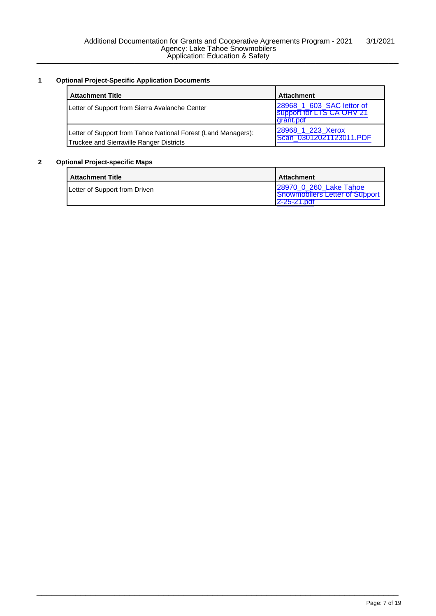# **1 Optional Project-Specific Application Documents**

| <b>Attachment Title</b>                                                                                   | <b>Attachment</b>                                                          |
|-----------------------------------------------------------------------------------------------------------|----------------------------------------------------------------------------|
| Letter of Support from Sierra Avalanche Center                                                            | 28968 1 603 SAC lettor of<br>support for LTS CA OHV 21<br><b>grant.pdf</b> |
| Letter of Support from Tahoe National Forest (Land Managers):<br>Truckee and Sierraville Ranger Districts | 28968_1_223_Xerox<br>Scan 03012021123011.PDF                               |

# **2 Optional Project-specific Maps**

| l Attachment Title            | l Attachment                                                                    |
|-------------------------------|---------------------------------------------------------------------------------|
| Letter of Support from Driven | 28970 0 260 Lake Tahoe<br>Snowmobilers Letter of Support<br>$12 - 25 - 21$ .pdf |

\_\_\_\_\_\_\_\_\_\_\_\_\_\_\_\_\_\_\_\_\_\_\_\_\_\_\_\_\_\_\_\_\_\_\_\_\_\_\_\_\_\_\_\_\_\_\_\_\_\_\_\_\_\_\_\_\_\_\_\_\_\_\_\_\_\_\_\_\_\_\_\_\_\_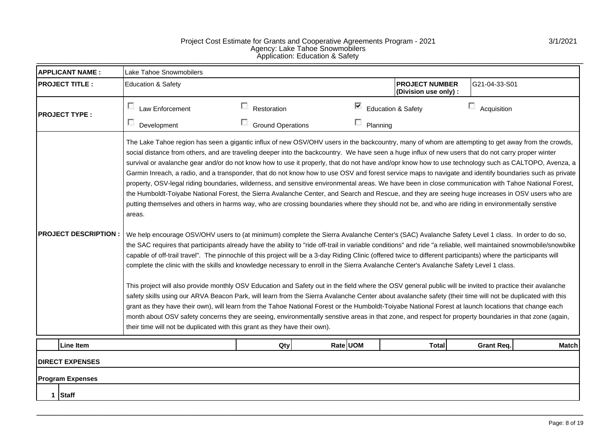| <b>APPLICANT NAME:</b>      | Lake Tahoe Snowmobilers                                                                                                                                                                                                                                                                                                                                                                                                                                                                                                                                                                                                                                                                                                                                                                                                                                                                                                                                                                                                                                                                                                                                                                                                                                                                                                                                                                                                                                                                                                                                                                                                                                                                                                                                                                                                                                                                                                                                                                                                                                                                                                                                                                                                                                                                                                                                                                                                                                                 |                                                |                                           |                                                |                   |              |
|-----------------------------|-------------------------------------------------------------------------------------------------------------------------------------------------------------------------------------------------------------------------------------------------------------------------------------------------------------------------------------------------------------------------------------------------------------------------------------------------------------------------------------------------------------------------------------------------------------------------------------------------------------------------------------------------------------------------------------------------------------------------------------------------------------------------------------------------------------------------------------------------------------------------------------------------------------------------------------------------------------------------------------------------------------------------------------------------------------------------------------------------------------------------------------------------------------------------------------------------------------------------------------------------------------------------------------------------------------------------------------------------------------------------------------------------------------------------------------------------------------------------------------------------------------------------------------------------------------------------------------------------------------------------------------------------------------------------------------------------------------------------------------------------------------------------------------------------------------------------------------------------------------------------------------------------------------------------------------------------------------------------------------------------------------------------------------------------------------------------------------------------------------------------------------------------------------------------------------------------------------------------------------------------------------------------------------------------------------------------------------------------------------------------------------------------------------------------------------------------------------------------|------------------------------------------------|-------------------------------------------|------------------------------------------------|-------------------|--------------|
| <b>PROJECT TITLE:</b>       | <b>Education &amp; Safety</b>                                                                                                                                                                                                                                                                                                                                                                                                                                                                                                                                                                                                                                                                                                                                                                                                                                                                                                                                                                                                                                                                                                                                                                                                                                                                                                                                                                                                                                                                                                                                                                                                                                                                                                                                                                                                                                                                                                                                                                                                                                                                                                                                                                                                                                                                                                                                                                                                                                           |                                                |                                           | <b>PROJECT NUMBER</b><br>(Division use only) : | G21-04-33-S01     |              |
| <b>PROJECT TYPE:</b>        | П<br>Law Enforcement<br>П<br>Development                                                                                                                                                                                                                                                                                                                                                                                                                                                                                                                                                                                                                                                                                                                                                                                                                                                                                                                                                                                                                                                                                                                                                                                                                                                                                                                                                                                                                                                                                                                                                                                                                                                                                                                                                                                                                                                                                                                                                                                                                                                                                                                                                                                                                                                                                                                                                                                                                                | $\Box$ Restoration<br><b>Ground Operations</b> | <b>Education &amp; Safety</b><br>Planning |                                                | L.<br>Acquisition |              |
| <b>PROJECT DESCRIPTION:</b> | The Lake Tahoe region has seen a gigantic influx of new OSV/OHV users in the backcountry, many of whom are attempting to get away from the crowds,<br>social distance from others, and are traveling deeper into the backcountry. We have seen a huge influx of new users that do not carry proper winter<br>survival or avalanche gear and/or do not know how to use it properly, that do not have and/opr know how to use technology such as CALTOPO, Avenza, a<br>Garmin Inreach, a radio, and a transponder, that do not know how to use OSV and forest service maps to navigate and identify boundaries such as private<br>property, OSV-legal riding boundaries, wilderness, and sensitive environmental areas. We have been in close communication with Tahoe National Forest,<br>the Humboldt-Toiyabe National Forest, the Sierra Avalanche Center, and Search and Rescue, and they are seeing huge increases in OSV users who are<br>putting themselves and others in harms way, who are crossing boundaries where they should not be, and who are riding in environmentally senstive<br>areas.<br>We help encourage OSV/OHV users to (at minimum) complete the Sierra Avalanche Center's (SAC) Avalanche Safety Level 1 class. In order to do so,<br>the SAC requires that participants already have the ability to "ride off-trail in variable conditions" and ride "a reliable, well maintained snowmobile/snowbike<br>capable of off-trail travel". The pinnochle of this project will be a 3-day Riding Clinic (offered twice to different participants) where the participants will<br>complete the clinic with the skills and knowledge necessary to enroll in the Sierra Avalanche Center's Avalanche Safety Level 1 class.<br>This project will also provide monthly OSV Education and Safety out in the field where the OSV general public will be invited to practice their avalanche<br>safety skills using our ARVA Beacon Park, will learn from the Sierra Avalanche Center about avalanche safety (their time will not be duplicated with this<br>grant as they have their own), will learn from the Tahoe National Forest or the Humboldt-Toiyabe National Forest at launch locations that change each<br>month about OSV safety concerns they are seeing, environmentally senstive areas in that zone, and respect for property boundaries in that zone (again,<br>their time will not be duplicated with this grant as they have their own). |                                                |                                           |                                                |                   |              |
| <b>Line Item</b>            |                                                                                                                                                                                                                                                                                                                                                                                                                                                                                                                                                                                                                                                                                                                                                                                                                                                                                                                                                                                                                                                                                                                                                                                                                                                                                                                                                                                                                                                                                                                                                                                                                                                                                                                                                                                                                                                                                                                                                                                                                                                                                                                                                                                                                                                                                                                                                                                                                                                                         | Qty                                            | Rate UOM                                  | <b>Total</b>                                   | <b>Grant Req.</b> | <b>Match</b> |
| <b>DIRECT EXPENSES</b>      |                                                                                                                                                                                                                                                                                                                                                                                                                                                                                                                                                                                                                                                                                                                                                                                                                                                                                                                                                                                                                                                                                                                                                                                                                                                                                                                                                                                                                                                                                                                                                                                                                                                                                                                                                                                                                                                                                                                                                                                                                                                                                                                                                                                                                                                                                                                                                                                                                                                                         |                                                |                                           |                                                |                   |              |
| <b>Program Expenses</b>     |                                                                                                                                                                                                                                                                                                                                                                                                                                                                                                                                                                                                                                                                                                                                                                                                                                                                                                                                                                                                                                                                                                                                                                                                                                                                                                                                                                                                                                                                                                                                                                                                                                                                                                                                                                                                                                                                                                                                                                                                                                                                                                                                                                                                                                                                                                                                                                                                                                                                         |                                                |                                           |                                                |                   |              |
| Staff<br>1                  |                                                                                                                                                                                                                                                                                                                                                                                                                                                                                                                                                                                                                                                                                                                                                                                                                                                                                                                                                                                                                                                                                                                                                                                                                                                                                                                                                                                                                                                                                                                                                                                                                                                                                                                                                                                                                                                                                                                                                                                                                                                                                                                                                                                                                                                                                                                                                                                                                                                                         |                                                |                                           |                                                |                   |              |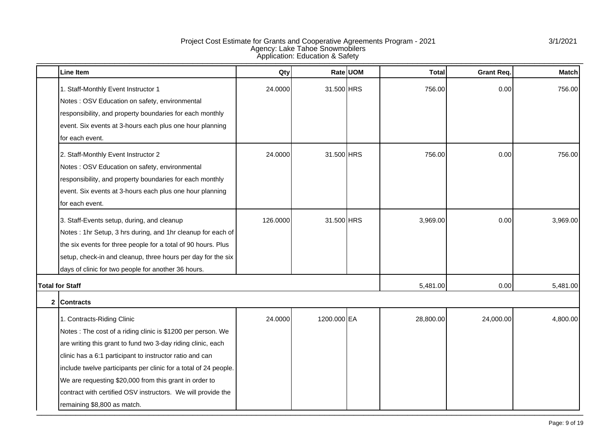| <b>Line Item</b>                                                                                                                                                                                                                                                                                                                                                                                                                                   | Qty      |             | Rate UOM | <b>Total</b> | <b>Grant Req.</b> | <b>Match</b> |
|----------------------------------------------------------------------------------------------------------------------------------------------------------------------------------------------------------------------------------------------------------------------------------------------------------------------------------------------------------------------------------------------------------------------------------------------------|----------|-------------|----------|--------------|-------------------|--------------|
| 1. Staff-Monthly Event Instructor 1<br>Notes: OSV Education on safety, environmental<br>responsibility, and property boundaries for each monthly<br>event. Six events at 3-hours each plus one hour planning<br>for each event.                                                                                                                                                                                                                    | 24.0000  | 31.500 HRS  |          | 756.00       | 0.00              | 756.00       |
| 2. Staff-Monthly Event Instructor 2<br>Notes: OSV Education on safety, environmental<br>responsibility, and property boundaries for each monthly<br>event. Six events at 3-hours each plus one hour planning<br>for each event.                                                                                                                                                                                                                    | 24.0000  | 31.500 HRS  |          | 756.00       | 0.00              | 756.00       |
| 3. Staff-Events setup, during, and cleanup<br>Notes: 1hr Setup, 3 hrs during, and 1hr cleanup for each of<br>the six events for three people for a total of 90 hours. Plus<br>setup, check-in and cleanup, three hours per day for the six<br>days of clinic for two people for another 36 hours.                                                                                                                                                  | 126.0000 | 31.500 HRS  |          | 3,969.00     | 0.00              | 3,969.00     |
| <b>Total for Staff</b>                                                                                                                                                                                                                                                                                                                                                                                                                             |          |             |          | 5,481.00     | 0.00              | 5,481.00     |
| 2 Contracts                                                                                                                                                                                                                                                                                                                                                                                                                                        |          |             |          |              |                   |              |
| 1. Contracts-Riding Clinic<br>Notes: The cost of a riding clinic is \$1200 per person. We<br>are writing this grant to fund two 3-day riding clinic, each<br>clinic has a 6:1 participant to instructor ratio and can<br>include twelve participants per clinic for a total of 24 people.<br>We are requesting \$20,000 from this grant in order to<br>contract with certified OSV instructors. We will provide the<br>remaining \$8,800 as match. | 24.0000  | 1200.000 EA |          | 28,800.00    | 24,000.00         | 4,800.00     |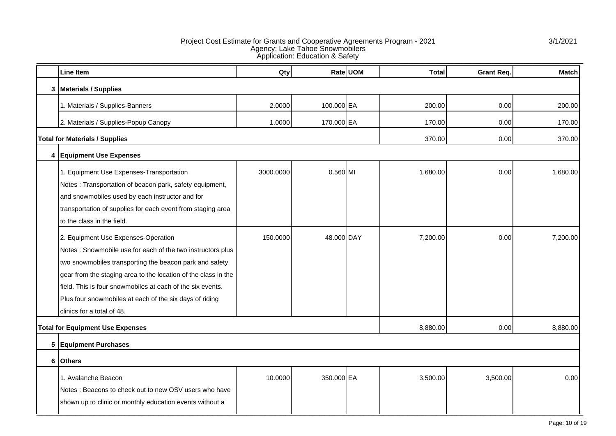| Line Item                                                                                                                                                                                                                                                                                                                                                                             | Qty       |            | Rate UOM | <b>Total</b> | <b>Grant Req.</b> | <b>Match</b> |
|---------------------------------------------------------------------------------------------------------------------------------------------------------------------------------------------------------------------------------------------------------------------------------------------------------------------------------------------------------------------------------------|-----------|------------|----------|--------------|-------------------|--------------|
| 3 Materials / Supplies                                                                                                                                                                                                                                                                                                                                                                |           |            |          |              |                   |              |
| 1. Materials / Supplies-Banners                                                                                                                                                                                                                                                                                                                                                       | 2.0000    | 100.000 EA |          | 200.00       | 0.00              | 200.00       |
| 2. Materials / Supplies-Popup Canopy                                                                                                                                                                                                                                                                                                                                                  | 1.0000    | 170.000 EA |          | 170.00       | 0.00              | 170.00       |
| <b>Total for Materials / Supplies</b>                                                                                                                                                                                                                                                                                                                                                 |           |            |          | 370.00       | 0.00              | 370.00       |
| 4 Equipment Use Expenses                                                                                                                                                                                                                                                                                                                                                              |           |            |          |              |                   |              |
| 1. Equipment Use Expenses-Transportation<br>Notes: Transportation of beacon park, safety equipment,<br>and snowmobiles used by each instructor and for<br>transportation of supplies for each event from staging area<br>to the class in the field.                                                                                                                                   | 3000.0000 | $0.560$ MI |          | 1,680.00     | 0.00              | 1,680.00     |
| 2. Equipment Use Expenses-Operation<br>Notes: Snowmobile use for each of the two instructors plus<br>two snowmobiles transporting the beacon park and safety<br>gear from the staging area to the location of the class in the<br>field. This is four snowmobiles at each of the six events.<br>Plus four snowmobiles at each of the six days of riding<br>clinics for a total of 48. | 150.0000  | 48.000 DAY |          | 7,200.00     | 0.00              | 7,200.00     |
| <b>Total for Equipment Use Expenses</b>                                                                                                                                                                                                                                                                                                                                               |           |            |          | 8,880.00     | 0.00              | 8,880.00     |
| 5 Equipment Purchases                                                                                                                                                                                                                                                                                                                                                                 |           |            |          |              |                   |              |
| 6 Others                                                                                                                                                                                                                                                                                                                                                                              |           |            |          |              |                   |              |
| 1. Avalanche Beacon<br>Notes: Beacons to check out to new OSV users who have<br>shown up to clinic or monthly education events without a                                                                                                                                                                                                                                              | 10.0000   | 350.000 EA |          | 3,500.00     | 3,500.00          | 0.00         |

Page: 10 of 19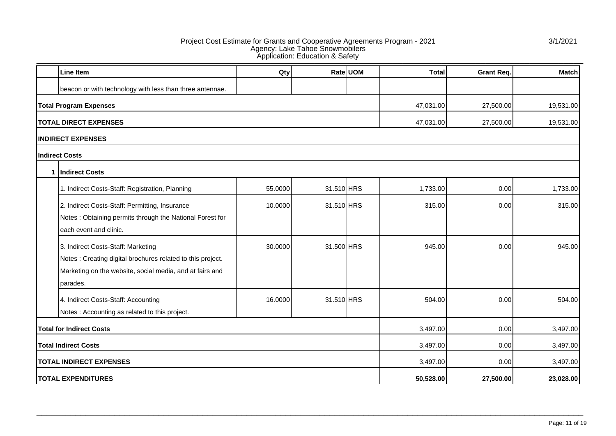|                                 | <b>Line Item</b>                                                                                                                                                         | Qty     |            | Rate UOM  | <b>Total</b> | <b>Grant Req.</b> | <b>Match</b> |
|---------------------------------|--------------------------------------------------------------------------------------------------------------------------------------------------------------------------|---------|------------|-----------|--------------|-------------------|--------------|
|                                 | beacon or with technology with less than three antennae.                                                                                                                 |         |            |           |              |                   |              |
|                                 | <b>Total Program Expenses</b>                                                                                                                                            |         |            |           | 47,031.00    | 27,500.00         | 19,531.00    |
|                                 | <b>TOTAL DIRECT EXPENSES</b>                                                                                                                                             |         |            |           | 47,031.00    | 27,500.00         | 19,531.00    |
|                                 | <b>INDIRECT EXPENSES</b>                                                                                                                                                 |         |            |           |              |                   |              |
|                                 | <b>Indirect Costs</b>                                                                                                                                                    |         |            |           |              |                   |              |
|                                 | 1  Indirect Costs                                                                                                                                                        |         |            |           |              |                   |              |
|                                 | 1. Indirect Costs-Staff: Registration, Planning                                                                                                                          | 55.0000 | 31.510 HRS |           | 1,733.00     | 0.00              | 1,733.00     |
|                                 | 2. Indirect Costs-Staff: Permitting, Insurance<br>Notes: Obtaining permits through the National Forest for<br>each event and clinic.                                     | 10.0000 | 31.510 HRS |           | 315.00       | 0.00              | 315.00       |
|                                 | 3. Indirect Costs-Staff: Marketing<br>Notes: Creating digital brochures related to this project.<br>Marketing on the website, social media, and at fairs and<br>parades. | 30.0000 | 31.500 HRS |           | 945.00       | 0.00              | 945.00       |
|                                 | 4. Indirect Costs-Staff: Accounting<br>Notes : Accounting as related to this project.                                                                                    | 16.0000 | 31.510 HRS |           | 504.00       | 0.00              | 504.00       |
| <b>Total for Indirect Costs</b> |                                                                                                                                                                          |         | 3,497.00   | 0.00      | 3,497.00     |                   |              |
| <b>Total Indirect Costs</b>     |                                                                                                                                                                          |         | 3,497.00   | 0.00      | 3,497.00     |                   |              |
|                                 | <b>TOTAL INDIRECT EXPENSES</b>                                                                                                                                           |         |            |           | 3,497.00     | 0.00              | 3,497.00     |
| <b>TOTAL EXPENDITURES</b>       |                                                                                                                                                                          |         | 50,528.00  | 27,500.00 | 23,028.00    |                   |              |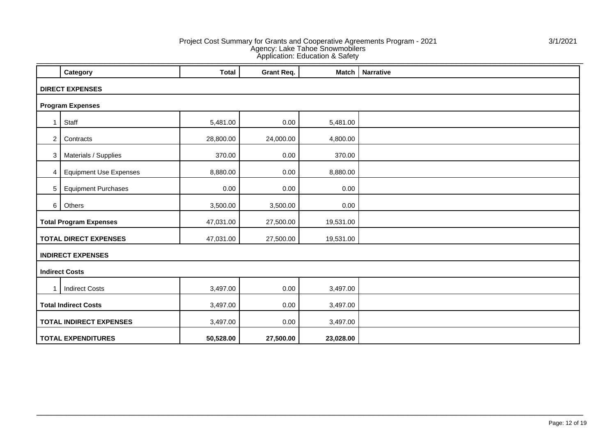|                               | Category                       | <b>Total</b> | <b>Grant Req.</b> | <b>Match</b> | <b>Narrative</b> |
|-------------------------------|--------------------------------|--------------|-------------------|--------------|------------------|
| <b>DIRECT EXPENSES</b>        |                                |              |                   |              |                  |
|                               | <b>Program Expenses</b>        |              |                   |              |                  |
| $\mathbf{1}$                  | Staff                          | 5,481.00     | 0.00              | 5,481.00     |                  |
| $\overline{c}$                | Contracts                      | 28,800.00    | 24,000.00         | 4,800.00     |                  |
| 3                             | Materials / Supplies           | 370.00       | 0.00              | 370.00       |                  |
| 4                             | <b>Equipment Use Expenses</b>  | 8,880.00     | 0.00              | 8,880.00     |                  |
| 5                             | <b>Equipment Purchases</b>     | 0.00         | 0.00              | 0.00         |                  |
| $\,6$                         | Others                         | 3,500.00     | 3,500.00          | 0.00         |                  |
| <b>Total Program Expenses</b> |                                | 47,031.00    | 27,500.00         | 19,531.00    |                  |
| <b>TOTAL DIRECT EXPENSES</b>  |                                | 47,031.00    | 27,500.00         | 19,531.00    |                  |
|                               | <b>INDIRECT EXPENSES</b>       |              |                   |              |                  |
|                               | <b>Indirect Costs</b>          |              |                   |              |                  |
| $\mathbf 1$                   | <b>Indirect Costs</b>          | 3,497.00     | 0.00              | 3,497.00     |                  |
| <b>Total Indirect Costs</b>   |                                | 3,497.00     | 0.00              | 3,497.00     |                  |
|                               | <b>TOTAL INDIRECT EXPENSES</b> | 3,497.00     | 0.00              | 3,497.00     |                  |
| <b>TOTAL EXPENDITURES</b>     |                                | 50,528.00    | 27,500.00         | 23,028.00    |                  |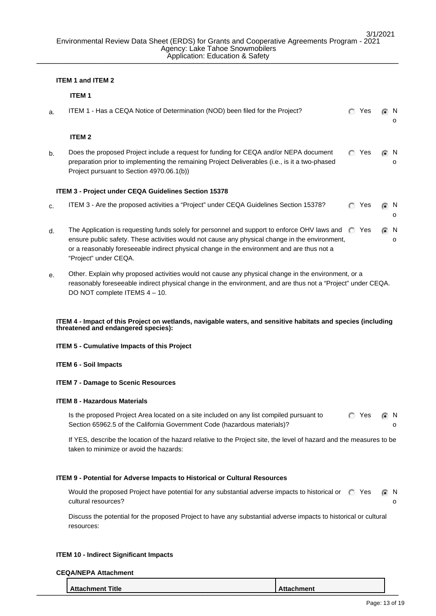#### **ITEM 1 and ITEM 2**

### **ITEM 1**

| a. | ITEM 1 - Has a CEQA Notice of Determination (NOD) been filed for the Project?                                                                                                                                                                                                                                                 |   | Yes | GN.<br><sup>o</sup>   |
|----|-------------------------------------------------------------------------------------------------------------------------------------------------------------------------------------------------------------------------------------------------------------------------------------------------------------------------------|---|-----|-----------------------|
|    | <b>ITEM2</b>                                                                                                                                                                                                                                                                                                                  |   |     |                       |
| b. | Does the proposed Project include a request for funding for CEQA and/or NEPA document<br>preparation prior to implementing the remaining Project Deliverables (i.e., is it a two-phased<br>Project pursuant to Section 4970.06.1(b))                                                                                          | C | Yes | GN<br>$\Omega$        |
|    | <b>ITEM 3 - Project under CEQA Guidelines Section 15378</b>                                                                                                                                                                                                                                                                   |   |     |                       |
| c. | ITEM 3 - Are the proposed activities a "Project" under CEQA Guidelines Section 15378?                                                                                                                                                                                                                                         | C | Yes | GN.<br><sup>o</sup>   |
| d. | The Application is requesting funds solely for personnel and support to enforce OHV laws and   C Yes<br>ensure public safety. These activities would not cause any physical change in the environment,<br>or a reasonably foreseeable indirect physical change in the environment and are thus not a<br>"Proiect" under CEQA. |   |     | $\odot$ N<br>$\Omega$ |

e. Other. Explain why proposed activities would not cause any physical change in the environment, or a reasonably foreseeable indirect physical change in the environment, and are thus not a "Project" under CEQA. DO NOT complete ITEMS 4 – 10.

#### **ITEM 4 - Impact of this Project on wetlands, navigable waters, and sensitive habitats and species (including threatened and endangered species):**

**ITEM 5 - Cumulative Impacts of this Project**

#### **ITEM 6 - Soil Impacts**

#### **ITEM 7 - Damage to Scenic Resources**

#### **ITEM 8 - Hazardous Materials**

Is the proposed Project Area located on a site included on any list compiled pursuant to Section 65962.5 of the California Government Code (hazardous materials)?  $C$  Yes  $G$  N o

If YES, describe the location of the hazard relative to the Project site, the level of hazard and the measures to be taken to minimize or avoid the hazards:

#### **ITEM 9 - Potential for Adverse Impacts to Historical or Cultural Resources**

Would the proposed Project have potential for any substantial adverse impacts to historical or  $\bigcap$  Yes cultural resources?  $\odot$  N o

Discuss the potential for the proposed Project to have any substantial adverse impacts to historical or cultural resources:

#### **ITEM 10 - Indirect Significant Impacts**

#### **CEQA/NEPA Attachment**

| '∆ъ.<br><b>Title</b><br>.<br>∽ |  |
|--------------------------------|--|
|                                |  |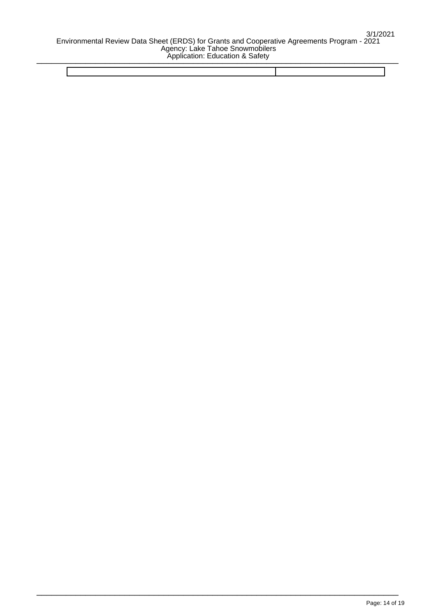\_\_\_\_\_\_\_\_\_\_\_\_\_\_\_\_\_\_\_\_\_\_\_\_\_\_\_\_\_\_\_\_\_\_\_\_\_\_\_\_\_\_\_\_\_\_\_\_\_\_\_\_\_\_\_\_\_\_\_\_\_\_\_\_\_\_\_\_\_\_\_\_\_\_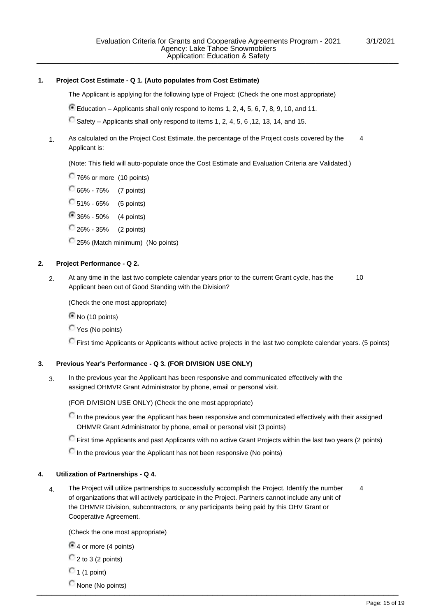### **1. Project Cost Estimate - Q 1. (Auto populates from Cost Estimate)**

The Applicant is applying for the following type of Project: (Check the one most appropriate)

 $\bullet$  Education – Applicants shall only respond to items 1, 2, 4, 5, 6, 7, 8, 9, 10, and 11.

 $\degree$  Safety – Applicants shall only respond to items 1, 2, 4, 5, 6, 12, 13, 14, and 15.

1. As calculated on the Project Cost Estimate, the percentage of the Project costs covered by the Applicant is: 4

(Note: This field will auto-populate once the Cost Estimate and Evaluation Criteria are Validated.)

- 76% or more (10 points)
- 66% 75% (7 points)
- 51% 65% (5 points)
- 36% 50% (4 points)
- 26% 35% (2 points)
- 25% (Match minimum) (No points)

#### **2. Project Performance - Q 2.**

2. At any time in the last two complete calendar years prior to the current Grant cycle, has the Applicant been out of Good Standing with the Division? 10

(Check the one most appropriate)

- $\odot$  No (10 points)
- Yes (No points)

First time Applicants or Applicants without active projects in the last two complete calendar years. (5 points)

## **3. Previous Year's Performance - Q 3. (FOR DIVISION USE ONLY)**

3. In the previous year the Applicant has been responsive and communicated effectively with the assigned OHMVR Grant Administrator by phone, email or personal visit.

(FOR DIVISION USE ONLY) (Check the one most appropriate)

- In the previous year the Applicant has been responsive and communicated effectively with their assigned OHMVR Grant Administrator by phone, email or personal visit (3 points)
- First time Applicants and past Applicants with no active Grant Projects within the last two years (2 points)

In the previous year the Applicant has not been responsive (No points)

#### **4. Utilization of Partnerships - Q 4.**

4. The Project will utilize partnerships to successfully accomplish the Project. Identify the number of organizations that will actively participate in the Project. Partners cannot include any unit of the OHMVR Division, subcontractors, or any participants being paid by this OHV Grant or Cooperative Agreement. 4

(Check the one most appropriate)

4 or more (4 points)

 $\degree$  2 to 3 (2 points)

 $\degree$  1 (1 point)

 $\bigcap$  None (No points)  $\blacksquare$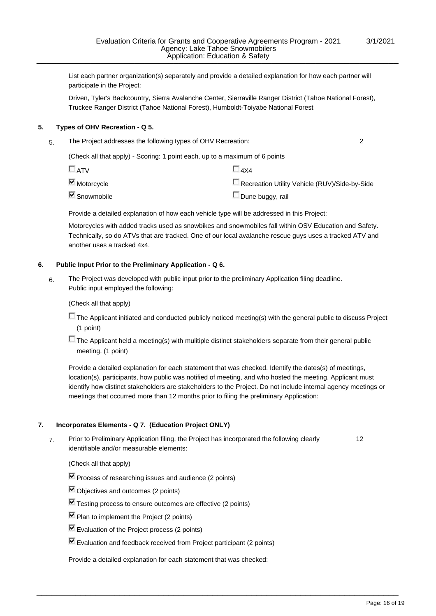List each partner organization(s) separately and provide a detailed explanation for how each partner will participate in the Project:

Driven, Tyler's Backcountry, Sierra Avalanche Center, Sierraville Ranger District (Tahoe National Forest), Truckee Ranger District (Tahoe National Forest), Humboldt-Toiyabe National Forest

### **5. Types of OHV Recreation - Q 5.**

5. The Project addresses the following types of OHV Recreation: 2 (Check all that apply) - Scoring: 1 point each, up to a maximum of 6 points

| $\Box$ ATV          | $\sqrt{4X4}$                                  |
|---------------------|-----------------------------------------------|
| $\nabla$ Motorcycle | Recreation Utility Vehicle (RUV)/Side-by-Side |
| $\nabla$ Snowmobile | $\Box$ Dune buggy, rail                       |

Provide a detailed explanation of how each vehicle type will be addressed in this Project:

Motorcycles with added tracks used as snowbikes and snowmobiles fall within OSV Education and Safety. Technically, so do ATVs that are tracked. One of our local avalanche rescue guys uses a tracked ATV and another uses a tracked 4x4.

#### **6. Public Input Prior to the Preliminary Application - Q 6.**

6. The Project was developed with public input prior to the preliminary Application filing deadline. Public input employed the following:

(Check all that apply)

- $\Box$  The Applicant initiated and conducted publicly noticed meeting(s) with the general public to discuss Project (1 point)
- The Applicant held a meeting(s) with mulitiple distinct stakeholders separate from their general public meeting. (1 point)

Provide a detailed explanation for each statement that was checked. Identify the dates(s) of meetings, location(s), participants, how public was notified of meeting, and who hosted the meeting. Applicant must identify how distinct stakeholders are stakeholders to the Project. Do not include internal agency meetings or meetings that occurred more than 12 months prior to filing the preliminary Application:

\_\_\_\_\_\_\_\_\_\_\_\_\_\_\_\_\_\_\_\_\_\_\_\_\_\_\_\_\_\_\_\_\_\_\_\_\_\_\_\_\_\_\_\_\_\_\_\_\_\_\_\_\_\_\_\_\_\_\_\_\_\_\_\_\_\_\_\_\_\_\_\_\_\_

#### **7. Incorporates Elements - Q 7. (Education Project ONLY)**

7. Prior to Preliminary Application filing, the Project has incorporated the following clearly identifiable and/or measurable elements:

(Check all that apply)

 $\nabla$  Process of researching issues and audience (2 points)

Objectives and outcomes (2 points)

 $\triangledown$  Testing process to ensure outcomes are effective (2 points)

**Plan to implement the Project (2 points)** 

Evaluation of the Project process (2 points)

 $\triangledown$  Evaluation and feedback received from Project participant (2 points)

Provide a detailed explanation for each statement that was checked:

12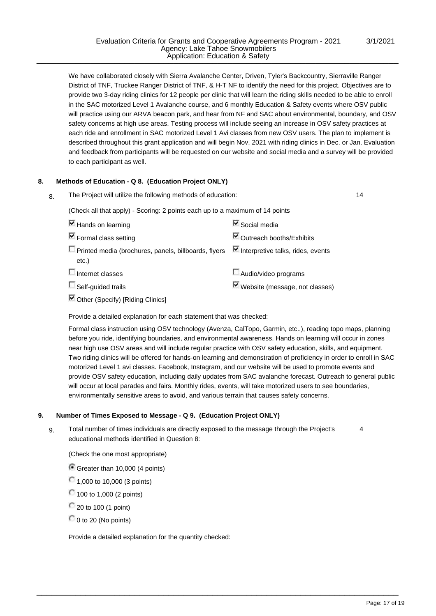We have collaborated closely with Sierra Avalanche Center, Driven, Tyler's Backcountry, Sierraville Ranger District of TNF, Truckee Ranger District of TNF, & H-T NF to identify the need for this project. Objectives are to provide two 3-day riding clinics for 12 people per clinic that will learn the riding skills needed to be able to enroll in the SAC motorized Level 1 Avalanche course, and 6 monthly Education & Safety events where OSV public will practice using our ARVA beacon park, and hear from NF and SAC about environmental, boundary, and OSV safety concerns at high use areas. Testing process will include seeing an increase in OSV safety practices at each ride and enrollment in SAC motorized Level 1 Avi classes from new OSV users. The plan to implement is described throughout this grant application and will begin Nov. 2021 with riding clinics in Dec. or Jan. Evaluation and feedback from participants will be requested on our website and social media and a survey will be provided to each participant as well.

#### **8. Methods of Education - Q 8. (Education Project ONLY)**

| 8. | The Project will utilize the following methods of education:                 |                                                 | 14 |
|----|------------------------------------------------------------------------------|-------------------------------------------------|----|
|    | (Check all that apply) - Scoring: 2 points each up to a maximum of 14 points |                                                 |    |
|    | $\overline{\mathbf{M}}$ Hands on learning<br>$\blacksquare$ Social media     |                                                 |    |
|    | $\blacksquare$ Formal class setting                                          | $\nabla$ Outreach booths/Exhibits               |    |
|    | Printed media (brochures, panels, billboards, flyers<br>etc.)                | Interpretive talks, rides, events               |    |
|    | $\square$ Internet classes                                                   | $\Box$ Audio/video programs                     |    |
|    | $\Box$ Self-guided trails                                                    | $\triangleright$ Website (message, not classes) |    |
|    | $\triangleright$ Other (Specify) [Riding Clinics]                            |                                                 |    |

Provide a detailed explanation for each statement that was checked:

Formal class instruction using OSV technology (Avenza, CalTopo, Garmin, etc..), reading topo maps, planning before you ride, identifying boundaries, and environmental awareness. Hands on learning will occur in zones near high use OSV areas and will include regular practice with OSV safety education, skills, and equipment. Two riding clinics will be offered for hands-on learning and demonstration of proficiency in order to enroll in SAC motorized Level 1 avi classes. Facebook, Instagram, and our website will be used to promote events and provide OSV safety education, including daily updates from SAC avalanche forecast. Outreach to general public will occur at local parades and fairs. Monthly rides, events, will take motorized users to see boundaries, environmentally sensitive areas to avoid, and various terrain that causes safety concerns.

#### **9. Number of Times Exposed to Message - Q 9. (Education Project ONLY)**

9. Total number of times individuals are directly exposed to the message through the Project's educational methods identified in Question 8: 4

\_\_\_\_\_\_\_\_\_\_\_\_\_\_\_\_\_\_\_\_\_\_\_\_\_\_\_\_\_\_\_\_\_\_\_\_\_\_\_\_\_\_\_\_\_\_\_\_\_\_\_\_\_\_\_\_\_\_\_\_\_\_\_\_\_\_\_\_\_\_\_\_\_\_

(Check the one most appropriate)

Greater than 10,000 (4 points)

1,000 to 10,000 (3 points)

100 to 1,000 (2 points)

20 to 100 (1 point)

 $\degree$  0 to 20 (No points)

Provide a detailed explanation for the quantity checked: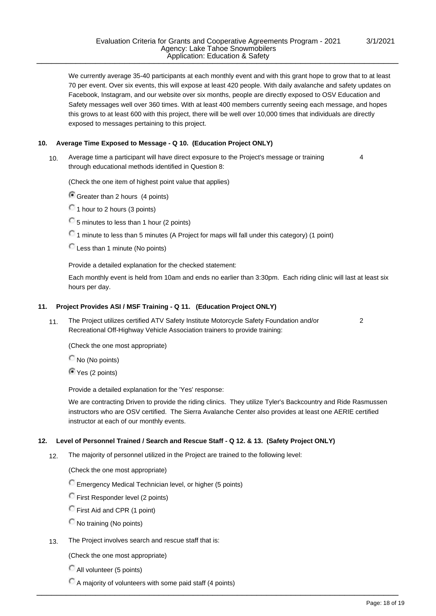4

We currently average 35-40 participants at each monthly event and with this grant hope to grow that to at least 70 per event. Over six events, this will expose at least 420 people. With daily avalanche and safety updates on Facebook, Instagram, and our website over six months, people are directly exposed to OSV Education and Safety messages well over 360 times. With at least 400 members currently seeing each message, and hopes this grows to at least 600 with this project, there will be well over 10,000 times that individuals are directly exposed to messages pertaining to this project.

#### **10. Average Time Exposed to Message - Q 10. (Education Project ONLY)**

10. Average time a participant will have direct exposure to the Project's message or training through educational methods identified in Question 8:

(Check the one item of highest point value that applies)

Greater than 2 hours (4 points)

- 1 hour to 2 hours (3 points)
- 5 minutes to less than 1 hour (2 points)
- $\degree$  1 minute to less than 5 minutes (A Project for maps will fall under this category) (1 point)
- Less than 1 minute (No points)

Provide a detailed explanation for the checked statement:

Each monthly event is held from 10am and ends no earlier than 3:30pm. Each riding clinic will last at least six hours per day.

#### **11. Project Provides ASI / MSF Training - Q 11. (Education Project ONLY)**

11. The Project utilizes certified ATV Safety Institute Motorcycle Safety Foundation and/or Recreational Off-Highway Vehicle Association trainers to provide training: 2

(Check the one most appropriate)

 $\bigcap$  No (No points)

Yes (2 points)

Provide a detailed explanation for the 'Yes' response:

We are contracting Driven to provide the riding clinics. They utilize Tyler's Backcountry and Ride Rasmussen instructors who are OSV certified. The Sierra Avalanche Center also provides at least one AERIE certified instructor at each of our monthly events.

\_\_\_\_\_\_\_\_\_\_\_\_\_\_\_\_\_\_\_\_\_\_\_\_\_\_\_\_\_\_\_\_\_\_\_\_\_\_\_\_\_\_\_\_\_\_\_\_\_\_\_\_\_\_\_\_\_\_\_\_\_\_\_\_\_\_\_\_\_\_\_\_\_\_

#### **12. Level of Personnel Trained / Search and Rescue Staff - Q 12. & 13. (Safety Project ONLY)**

12. The majority of personnel utilized in the Project are trained to the following level:

(Check the one most appropriate)

Emergency Medical Technician level, or higher (5 points)

First Responder level (2 points)

First Aid and CPR (1 point)

No training (No points)

#### 13. The Project involves search and rescue staff that is:

(Check the one most appropriate)

All volunteer (5 points)

A majority of volunteers with some paid staff (4 points)